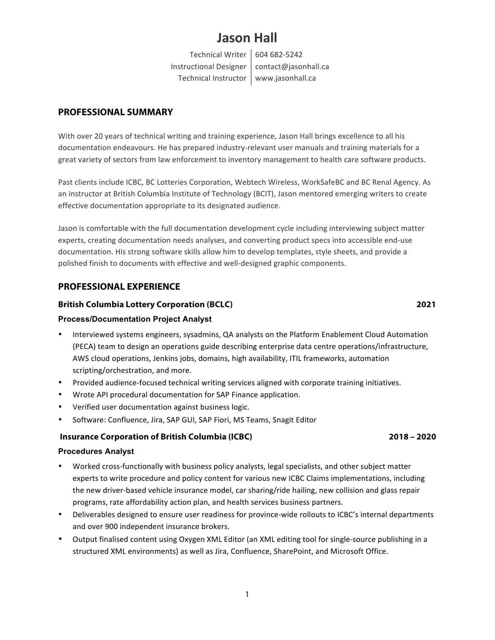# **Jason Hall**

Technical Writer 604 682-5242 Instructional Designer | contact@jasonhall.ca Technical Instructor | www.jasonhall.ca

# **PROFESSIONAL SUMMARY**

With over 20 years of technical writing and training experience, Jason Hall brings excellence to all his documentation endeavours. He has prepared industry-relevant user manuals and training materials for a great variety of sectors from law enforcement to inventory management to health care software products.

Past clients include ICBC, BC Lotteries Corporation, Webtech Wireless, WorkSafeBC and BC Renal Agency. As an instructor at British Columbia Institute of Technology (BCIT), Jason mentored emerging writers to create effective documentation appropriate to its designated audience.

Jason is comfortable with the full documentation development cycle including interviewing subject matter experts, creating documentation needs analyses, and converting product specs into accessible end-use documentation. His strong software skills allow him to develop templates, style sheets, and provide a polished finish to documents with effective and well-designed graphic components.

# **PROFESSIONAL EXPERIENCE**

# **British Columbia Lottery Corporation (BCLC) 2021**

# **Process/Documentation Project Analyst**

- Interviewed systems engineers, sysadmins, QA analysts on the Platform Enablement Cloud Automation (PECA) team to design an operations guide describing enterprise data centre operations/infrastructure, AWS cloud operations, Jenkins jobs, domains, high availability, ITIL frameworks, automation scripting/orchestration, and more.
- Provided audience-focused technical writing services aligned with corporate training initiatives.
- Wrote API procedural documentation for SAP Finance application.
- Verified user documentation against business logic.
- Software: Confluence, Jira, SAP GUI, SAP Fiori, MS Teams, Snagit Editor

# **Insurance Corporation of British Columbia (ICBC) 2018 – 2020**

### **Procedures Analyst**

- Worked cross-functionally with business policy analysts, legal specialists, and other subject matter experts to write procedure and policy content for various new ICBC Claims implementations, including the new driver-based vehicle insurance model, car sharing/ride hailing, new collision and glass repair programs, rate affordability action plan, and health services business partners.
- Deliverables designed to ensure user readiness for province-wide rollouts to ICBC's internal departments and over 900 independent insurance brokers.
- Output finalised content using Oxygen XML Editor (an XML editing tool for single-source publishing in a structured XML environments) as well as Jira, Confluence, SharePoint, and Microsoft Office.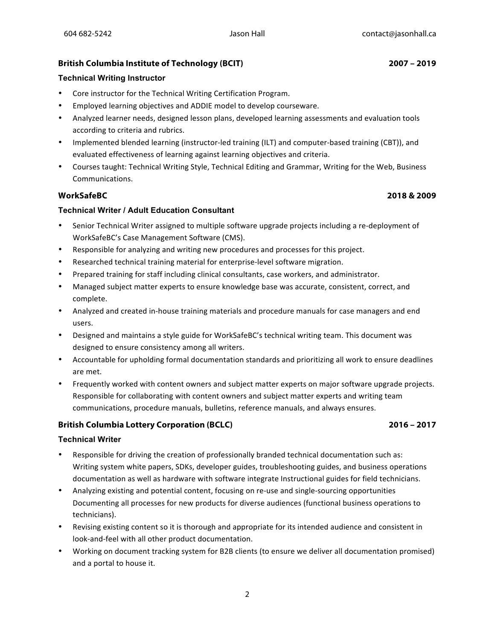# **British Columbia Institute of Technology (BCIT) 2007 – 2019**

### **Technical Writing Instructor**

- Core instructor for the Technical Writing Certification Program.
- Employed learning objectives and ADDIE model to develop courseware.
- Analyzed learner needs, designed lesson plans, developed learning assessments and evaluation tools according to criteria and rubrics.
- Implemented blended learning (instructor-led training (ILT) and computer-based training (CBT)), and evaluated effectiveness of learning against learning objectives and criteria.
- Courses taught: Technical Writing Style, Technical Editing and Grammar, Writing for the Web, Business Communications.

# **WorkSafeBC 2018 & 2009**

### **Technical Writer / Adult Education Consultant**

- Senior Technical Writer assigned to multiple software upgrade projects including a re-deployment of WorkSafeBC's Case Management Software (CMS).
- Responsible for analyzing and writing new procedures and processes for this project.
- Researched technical training material for enterprise-level software migration.
- Prepared training for staff including clinical consultants, case workers, and administrator.
- Managed subject matter experts to ensure knowledge base was accurate, consistent, correct, and complete.
- Analyzed and created in-house training materials and procedure manuals for case managers and end users.
- Designed and maintains a style guide for WorkSafeBC's technical writing team. This document was designed to ensure consistency among all writers.
- Accountable for upholding formal documentation standards and prioritizing all work to ensure deadlines are met.
- Frequently worked with content owners and subject matter experts on major software upgrade projects. Responsible for collaborating with content owners and subject matter experts and writing team communications, procedure manuals, bulletins, reference manuals, and always ensures.

# **British Columbia Lottery Corporation (BCLC) 2016 – 2017**

### **Technical Writer**

- Responsible for driving the creation of professionally branded technical documentation such as: Writing system white papers, SDKs, developer guides, troubleshooting guides, and business operations documentation as well as hardware with software integrate Instructional guides for field technicians.
- Analyzing existing and potential content, focusing on re-use and single-sourcing opportunities Documenting all processes for new products for diverse audiences (functional business operations to technicians).
- Revising existing content so it is thorough and appropriate for its intended audience and consistent in look-and-feel with all other product documentation.
- Working on document tracking system for B2B clients (to ensure we deliver all documentation promised) and a portal to house it.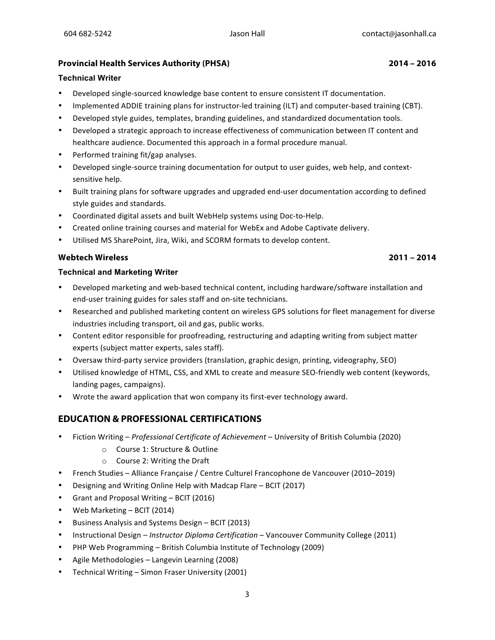### **Provincial Health Services Authority (PHSA) 2014 – 2016**

### **Technical Writer**

- Developed single-sourced knowledge base content to ensure consistent IT documentation.
- Implemented ADDIE training plans for instructor-led training (ILT) and computer-based training (CBT).
- Developed style guides, templates, branding guidelines, and standardized documentation tools.
- Developed a strategic approach to increase effectiveness of communication between IT content and healthcare audience. Documented this approach in a formal procedure manual.
- Performed training fit/gap analyses.
- Developed single-source training documentation for output to user guides, web help, and contextsensitive help.
- Built training plans for software upgrades and upgraded end-user documentation according to defined style guides and standards.
- Coordinated digital assets and built WebHelp systems using Doc-to-Help.
- Created online training courses and material for WebEx and Adobe Captivate delivery.
- Utilised MS SharePoint, Jira, Wiki, and SCORM formats to develop content.

### **Webtech Wireless 2011 – 2014**

### **Technical and Marketing Writer**

- Developed marketing and web-based technical content, including hardware/software installation and end-user training guides for sales staff and on-site technicians.
- Researched and published marketing content on wireless GPS solutions for fleet management for diverse industries including transport, oil and gas, public works.
- Content editor responsible for proofreading, restructuring and adapting writing from subject matter experts (subject matter experts, sales staff).
- Oversaw third-party service providers (translation, graphic design, printing, videography, SEO)
- Utilised knowledge of HTML, CSS, and XML to create and measure SEO-friendly web content (keywords, landing pages, campaigns).
- Wrote the award application that won company its first-ever technology award.

# **EDUCATION & PROFESSIONAL CERTIFICATIONS**

- Fiction Writing – *Professional Certificate of Achievement*  University of British Columbia (2020)
	- o Course 1: Structure & Outline
	- $\circ$  Course 2: Writing the Draft
- French Studies Alliance Francaise / Centre Culturel Francophone de Vancouver (2010–2019)
- Designing and Writing Online Help with Madcap Flare  $-$  BCIT (2017)
- Grant and Proposal Writing BCIT (2016)
- Web Marketing BCIT (2014)
- Business Analysis and Systems Design BCIT (2013)
- Instructional Design *Instructor Diploma Certification* Vancouver Community College (2011)
- PHP Web Programming British Columbia Institute of Technology (2009)
- Agile Methodologies Langevin Learning (2008)
- Technical Writing Simon Fraser University (2001)